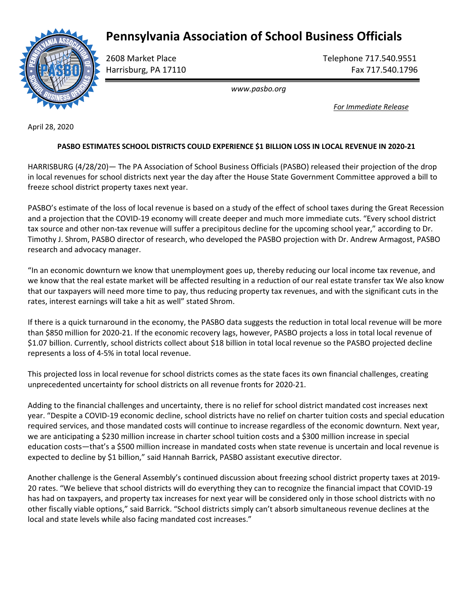## Pennsylvania Association of School Business Officials



2608 Market Place Telephone 717.540.9551 Harrisburg, PA 17110 **Fax 717.540.1796** 

www.pasbo.org

For Immediate Release

April 28, 2020

## PASBO ESTIMATES SCHOOL DISTRICTS COULD EXPERIENCE \$1 BILLION LOSS IN LOCAL REVENUE IN 2020-21

HARRISBURG (4/28/20)— The PA Association of School Business Officials (PASBO) released their projection of the drop in local revenues for school districts next year the day after the House State Government Committee approved a bill to freeze school district property taxes next year.

PASBO's estimate of the loss of local revenue is based on a study of the effect of school taxes during the Great Recession and a projection that the COVID-19 economy will create deeper and much more immediate cuts. "Every school district tax source and other non-tax revenue will suffer a precipitous decline for the upcoming school year," according to Dr. Timothy J. Shrom, PASBO director of research, who developed the PASBO projection with Dr. Andrew Armagost, PASBO research and advocacy manager.

"In an economic downturn we know that unemployment goes up, thereby reducing our local income tax revenue, and we know that the real estate market will be affected resulting in a reduction of our real estate transfer tax We also know that our taxpayers will need more time to pay, thus reducing property tax revenues, and with the significant cuts in the rates, interest earnings will take a hit as well" stated Shrom.

If there is a quick turnaround in the economy, the PASBO data suggests the reduction in total local revenue will be more than \$850 million for 2020-21. If the economic recovery lags, however, PASBO projects a loss in total local revenue of \$1.07 billion. Currently, school districts collect about \$18 billion in total local revenue so the PASBO projected decline represents a loss of 4-5% in total local revenue.

This projected loss in local revenue for school districts comes as the state faces its own financial challenges, creating unprecedented uncertainty for school districts on all revenue fronts for 2020-21.

Adding to the financial challenges and uncertainty, there is no relief for school district mandated cost increases next year. "Despite a COVID-19 economic decline, school districts have no relief on charter tuition costs and special education required services, and those mandated costs will continue to increase regardless of the economic downturn. Next year, we are anticipating a \$230 million increase in charter school tuition costs and a \$300 million increase in special education costs—that's a \$500 million increase in mandated costs when state revenue is uncertain and local revenue is expected to decline by \$1 billion," said Hannah Barrick, PASBO assistant executive director.

Another challenge is the General Assembly's continued discussion about freezing school district property taxes at 2019- 20 rates. "We believe that school districts will do everything they can to recognize the financial impact that COVID-19 has had on taxpayers, and property tax increases for next year will be considered only in those school districts with no other fiscally viable options," said Barrick. "School districts simply can't absorb simultaneous revenue declines at the local and state levels while also facing mandated cost increases."